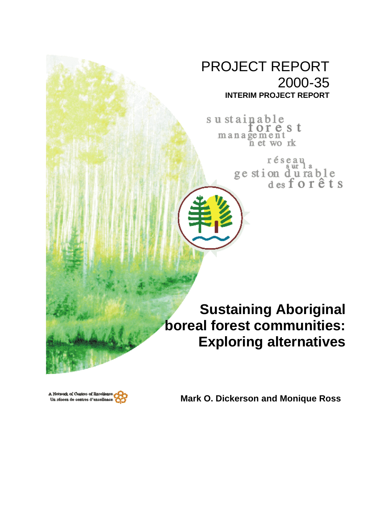# PROJECT REPORT 2000-35 **INTERIM PROJECT REPORT**

su stainable<br>for  $e$  s t management<br>net work

réseau<br>ge stion d'u rable<br>des forêts

**Sustaining Aboriginal boreal forest communities: Exploring alternatives**



**Mark O. Dickerson and Monique Ross**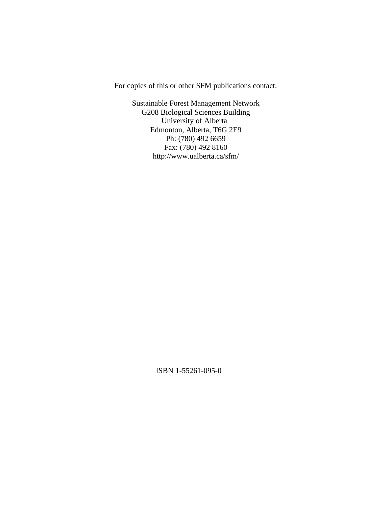For copies of this or other SFM publications contact:

Sustainable Forest Management Network G208 Biological Sciences Building University of Alberta Edmonton, Alberta, T6G 2E9 Ph: (780) 492 6659 Fax: (780) 492 8160 http://www.ualberta.ca/sfm/

ISBN 1-55261-095-0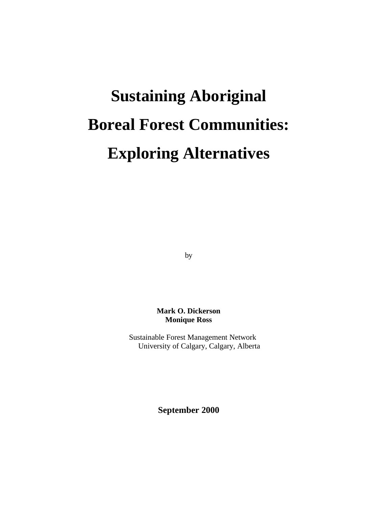# **Sustaining Aboriginal Boreal Forest Communities: Exploring Alternatives**

by

**Mark O. Dickerson Monique Ross**

 Sustainable Forest Management Network University of Calgary, Calgary, Alberta

**September 2000**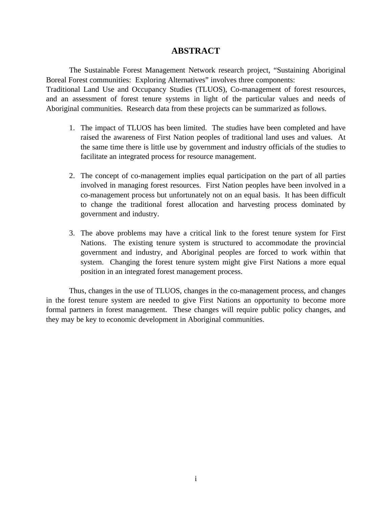# **ABSTRACT**

The Sustainable Forest Management Network research project, "Sustaining Aboriginal Boreal Forest communities: Exploring Alternatives" involves three components: Traditional Land Use and Occupancy Studies (TLUOS), Co-management of forest resources, and an assessment of forest tenure systems in light of the particular values and needs of Aboriginal communities. Research data from these projects can be summarized as follows.

- 1. The impact of TLUOS has been limited. The studies have been completed and have raised the awareness of First Nation peoples of traditional land uses and values. At the same time there is little use by government and industry officials of the studies to facilitate an integrated process for resource management.
- 2. The concept of co-management implies equal participation on the part of all parties involved in managing forest resources. First Nation peoples have been involved in a co-management process but unfortunately not on an equal basis. It has been difficult to change the traditional forest allocation and harvesting process dominated by government and industry.
- 3. The above problems may have a critical link to the forest tenure system for First Nations. The existing tenure system is structured to accommodate the provincial government and industry, and Aboriginal peoples are forced to work within that system. Changing the forest tenure system might give First Nations a more equal position in an integrated forest management process.

Thus, changes in the use of TLUOS, changes in the co-management process, and changes in the forest tenure system are needed to give First Nations an opportunity to become more formal partners in forest management. These changes will require public policy changes, and they may be key to economic development in Aboriginal communities.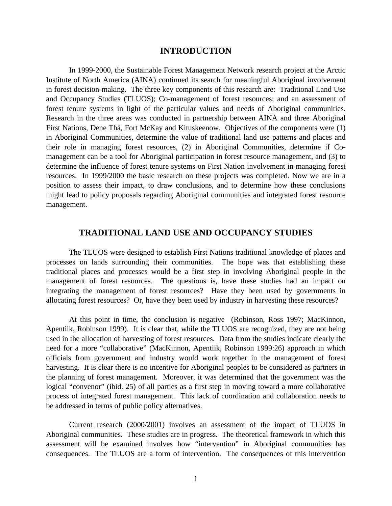#### **INTRODUCTION**

In 1999-2000, the Sustainable Forest Management Network research project at the Arctic Institute of North America (AINA) continued its search for meaningful Aboriginal involvement in forest decision-making. The three key components of this research are: Traditional Land Use and Occupancy Studies (TLUOS); Co-management of forest resources; and an assessment of forest tenure systems in light of the particular values and needs of Aboriginal communities. Research in the three areas was conducted in partnership between AINA and three Aboriginal First Nations, Dene Thá, Fort McKay and Kituskeenow. Objectives of the components were (1) in Aboriginal Communities, determine the value of traditional land use patterns and places and their role in managing forest resources, (2) in Aboriginal Communities, determine if Comanagement can be a tool for Aboriginal participation in forest resource management, and (3) to determine the influence of forest tenure systems on First Nation involvement in managing forest resources. In 1999/2000 the basic research on these projects was completed. Now we are in a position to assess their impact, to draw conclusions, and to determine how these conclusions might lead to policy proposals regarding Aboriginal communities and integrated forest resource management.

# **TRADITIONAL LAND USE AND OCCUPANCY STUDIES**

The TLUOS were designed to establish First Nations traditional knowledge of places and processes on lands surrounding their communities. The hope was that establishing these traditional places and processes would be a first step in involving Aboriginal people in the management of forest resources. The questions is, have these studies had an impact on integrating the management of forest resources? Have they been used by governments in allocating forest resources? Or, have they been used by industry in harvesting these resources?

At this point in time, the conclusion is negative (Robinson, Ross 1997; MacKinnon, Apentiik, Robinson 1999). It is clear that, while the TLUOS are recognized, they are not being used in the allocation of harvesting of forest resources. Data from the studies indicate clearly the need for a more "collaborative" (MacKinnon, Apentiik, Robinson 1999:26) approach in which officials from government and industry would work together in the management of forest harvesting. It is clear there is no incentive for Aboriginal peoples to be considered as partners in the planning of forest management. Moreover, it was determined that the government was the logical "convenor" (ibid. 25) of all parties as a first step in moving toward a more collaborative process of integrated forest management. This lack of coordination and collaboration needs to be addressed in terms of public policy alternatives.

Current research (2000/2001) involves an assessment of the impact of TLUOS in Aboriginal communities. These studies are in progress. The theoretical framework in which this assessment will be examined involves how "intervention" in Aboriginal communities has consequences. The TLUOS are a form of intervention. The consequences of this intervention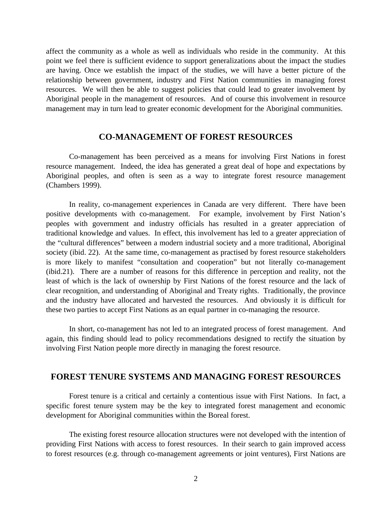affect the community as a whole as well as individuals who reside in the community. At this point we feel there is sufficient evidence to support generalizations about the impact the studies are having. Once we establish the impact of the studies, we will have a better picture of the relationship between government, industry and First Nation communities in managing forest resources. We will then be able to suggest policies that could lead to greater involvement by Aboriginal people in the management of resources. And of course this involvement in resource management may in turn lead to greater economic development for the Aboriginal communities.

### **CO-MANAGEMENT OF FOREST RESOURCES**

Co-management has been perceived as a means for involving First Nations in forest resource management. Indeed, the idea has generated a great deal of hope and expectations by Aboriginal peoples, and often is seen as a way to integrate forest resource management (Chambers 1999).

In reality, co-management experiences in Canada are very different. There have been positive developments with co-management. For example, involvement by First Nation's peoples with government and industry officials has resulted in a greater appreciation of traditional knowledge and values. In effect, this involvement has led to a greater appreciation of the "cultural differences" between a modern industrial society and a more traditional, Aboriginal society (ibid. 22). At the same time, co-management as practised by forest resource stakeholders is more likely to manifest "consultation and cooperation" but not literally co-management (ibid.21). There are a number of reasons for this difference in perception and reality, not the least of which is the lack of ownership by First Nations of the forest resource and the lack of clear recognition, and understanding of Aboriginal and Treaty rights. Traditionally, the province and the industry have allocated and harvested the resources. And obviously it is difficult for these two parties to accept First Nations as an equal partner in co-managing the resource.

In short, co-management has not led to an integrated process of forest management. And again, this finding should lead to policy recommendations designed to rectify the situation by involving First Nation people more directly in managing the forest resource.

#### **FOREST TENURE SYSTEMS AND MANAGING FOREST RESOURCES**

Forest tenure is a critical and certainly a contentious issue with First Nations. In fact, a specific forest tenure system may be the key to integrated forest management and economic development for Aboriginal communities within the Boreal forest.

The existing forest resource allocation structures were not developed with the intention of providing First Nations with access to forest resources. In their search to gain improved access to forest resources (e.g. through co-management agreements or joint ventures), First Nations are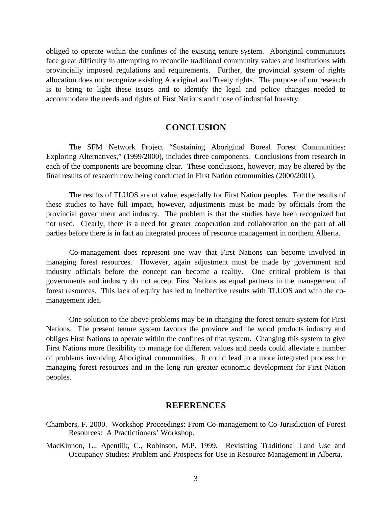obliged to operate within the confines of the existing tenure system. Aboriginal communities face great difficulty in attempting to reconcile traditional community values and institutions with provincially imposed regulations and requirements. Further, the provincial system of rights allocation does not recognize existing Aboriginal and Treaty rights. The purpose of our research is to bring to light these issues and to identify the legal and policy changes needed to accommodate the needs and rights of First Nations and those of industrial forestry.

## **CONCLUSION**

The SFM Network Project "Sustaining Aboriginal Boreal Forest Communities: Exploring Alternatives," (1999/2000), includes three components. Conclusions from research in each of the components are becoming clear. These conclusions, however, may be altered by the final results of research now being conducted in First Nation communities (2000/2001).

The results of TLUOS are of value, especially for First Nation peoples. For the results of these studies to have full impact, however, adjustments must be made by officials from the provincial government and industry. The problem is that the studies have been recognized but not used. Clearly, there is a need for greater cooperation and collaboration on the part of all parties before there is in fact an integrated process of resource management in northern Alberta.

Co-management does represent one way that First Nations can become involved in managing forest resources. However, again adjustment must be made by government and industry officials before the concept can become a reality. One critical problem is that governments and industry do not accept First Nations as equal partners in the management of forest resources. This lack of equity has led to ineffective results with TLUOS and with the comanagement idea.

One solution to the above problems may be in changing the forest tenure system for First Nations. The present tenure system favours the province and the wood products industry and obliges First Nations to operate within the confines of that system. Changing this system to give First Nations more flexibility to manage for different values and needs could alleviate a number of problems involving Aboriginal communities. It could lead to a more integrated process for managing forest resources and in the long run greater economic development for First Nation peoples.

#### **REFERENCES**

- Chambers, F. 2000. Workshop Proceedings: From Co-management to Co-Jurisdiction of Forest Resources: A Practictioners' Workshop.
- MacKinnon, L., Apentiik, C., Robinson, M.P. 1999. Revisiting Traditional Land Use and Occupancy Studies: Problem and Prospects for Use in Resource Management in Alberta.